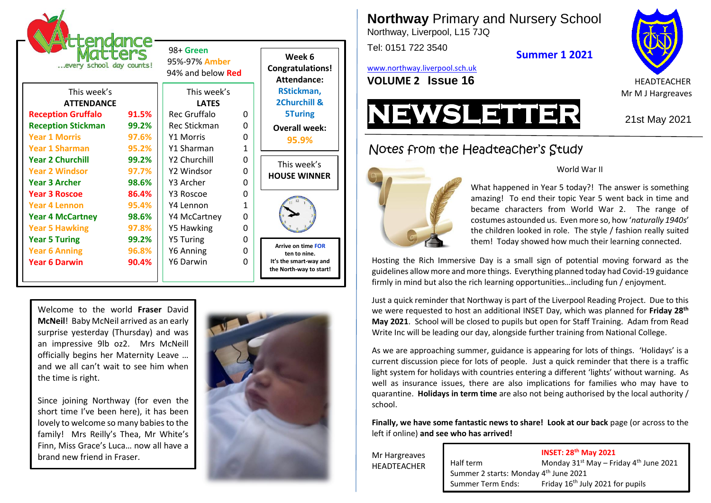| <b>ittendance</b><br><b>Eters</b><br>every school day counts! |       | 98+ Green<br>95%-97% Amber<br>94% and below <b>Red</b> |              | Week 6<br><b>Congratulations!</b><br>Attendance:                                               |
|---------------------------------------------------------------|-------|--------------------------------------------------------|--------------|------------------------------------------------------------------------------------------------|
| This week's                                                   |       | This week's                                            |              | RStickman,                                                                                     |
| <b>ATTENDANCE</b>                                             |       | <b>LATFS</b>                                           |              | 2Churchill &                                                                                   |
| <b>Reception Gruffalo</b>                                     | 91.5% | Rec Gruffalo                                           | O            | <b>5Turing</b>                                                                                 |
| <b>Reception Stickman</b>                                     | 99.2% | Rec Stickman                                           | O            | <b>Overall week:</b>                                                                           |
| <b>Year 1 Morris</b>                                          | 97.6% | <b>Y1 Morris</b>                                       | 0            | 95.9%                                                                                          |
| <b>Year 1 Sharman</b>                                         | 95.2% | Y1 Sharman                                             | $\mathbf{1}$ |                                                                                                |
| <b>Year 2 Churchill</b>                                       | 99.2% | Y2 Churchill                                           | 0            | This week's<br><b>HOUSE WINNER</b>                                                             |
| <b>Year 2 Windsor</b>                                         | 97.7% | Y2 Windsor                                             | O            |                                                                                                |
| <b>Year 3 Archer</b>                                          | 98.6% | Y3 Archer                                              | 0            |                                                                                                |
| <b>Year 3 Roscoe</b>                                          | 86.4% | Y3 Roscoe                                              | 0            |                                                                                                |
| <b>Year 4 Lennon</b>                                          | 95.4% | Y4 Lennon                                              | 1            |                                                                                                |
| <b>Year 4 McCartney</b>                                       | 98.6% | Y4 McCartney                                           | 0            |                                                                                                |
| <b>Year 5 Hawking</b>                                         | 97.8% | Y5 Hawking                                             | 0            |                                                                                                |
| <b>Year 5 Turing</b>                                          | 99.2% | <b>Y5 Turing</b>                                       | 0            | <b>Arrive on time FOR</b><br>ten to nine.<br>It's the smart-way and<br>the North-way to start! |
| <b>Year 6 Anning</b>                                          | 96.8% | Y6 Anning                                              | 0            |                                                                                                |
| <b>Year 6 Darwin</b>                                          | 90.4% | Y6 Darwin                                              | 0            |                                                                                                |
|                                                               |       |                                                        |              |                                                                                                |

Welcome to the world **Fraser** David **McNeil**! Baby McNeil arrived as an early surprise yesterday (Thursday) and was an impressive 9lb oz2. Mrs McNeill officially begins her Maternity Leave … and we all can't wait to see him when the time is right.

Since joining Northway (for even the short time I've been here), it has been lovely to welcome so many babies to the family! Mrs Reilly's Thea, Mr White's Finn, Miss Grace's Luca… now all have a brand new friend in Fraser.



**Northway** Primary and Nursery School

Northway, Liverpool, L15 7JQ

Tel: 0151 722 3540

**Summer 1 2021**

[www.northway.liverpool.sch.uk](http://www.northway.liverpool.sch.uk/)





## Notes from the Headteacher's Study



### World War II

What happened in Year 5 today?! The answer is something amazing! To end their topic Year 5 went back in time and became characters from World War 2. The range of costumes astounded us. Even more so, how '*naturally 1940s*' the children looked in role. The style / fashion really suited them! Today showed how much their learning connected.

Hosting the Rich Immersive Day is a small sign of potential moving forward as the guidelines allow more and more things. Everything planned today had Covid-19 guidance firmly in mind but also the rich learning opportunities…including fun / enjoyment.

Just a quick reminder that Northway is part of the Liverpool Reading Project. Due to this we were requested to host an additional INSET Day, which was planned for **Friday 28th May 2021**. School will be closed to pupils but open for Staff Training. Adam from Read Write Inc will be leading our day, alongside further training from National College.

As we are approaching summer, guidance is appearing for lots of things. 'Holidays' is a current discussion piece for lots of people. Just a quick reminder that there is a traffic light system for holidays with countries entering a different 'lights' without warning. As well as insurance issues, there are also implications for families who may have to quarantine. **Holidays in term time** are also not being authorised by the local authority / school.

**Finally, we have some fantastic news to share! Look at our back** page (or across to the left if online) **and see who has arrived!**

Mr Hargreaves HEADTEACHER

### **INSET: 28th May 2021**

Half term Monday 31<sup>st</sup> May – Friday 4<sup>th</sup> June 2021 Summer 2 starts: Monday 4<sup>th</sup> June 2021 Summer Term Ends: Friday 16<sup>th</sup> July 2021 for pupils